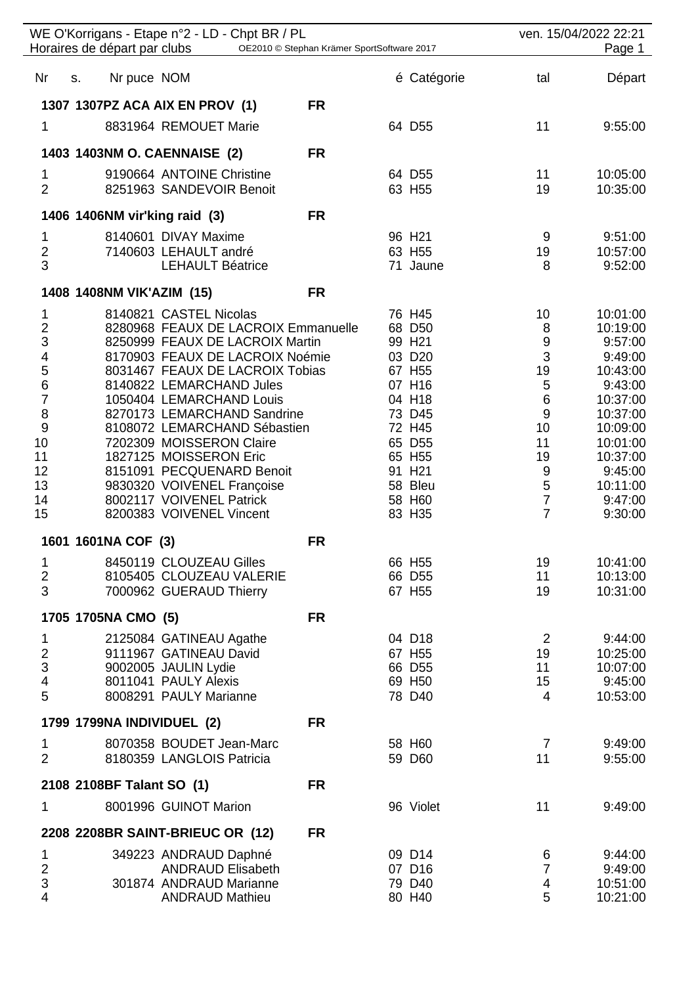| WE O'Korrigans - Etape n°2 - LD - Chpt BR / PL<br>Horaires de départ par clubs<br>OE2010 © Stephan Krämer SportSoftware 2017 |                               |                                                                        |           |  | ven. 15/04/2022 22:21<br>Page 1 |                      |                      |
|------------------------------------------------------------------------------------------------------------------------------|-------------------------------|------------------------------------------------------------------------|-----------|--|---------------------------------|----------------------|----------------------|
| Nr                                                                                                                           | Nr puce NOM<br>S.             |                                                                        |           |  | é Catégorie                     | tal                  | Départ               |
|                                                                                                                              |                               | 1307 1307PZ ACA AIX EN PROV (1)                                        | <b>FR</b> |  |                                 |                      |                      |
| 1                                                                                                                            |                               | 8831964 REMOUET Marie                                                  |           |  | 64 D55                          | 11                   | 9:55:00              |
|                                                                                                                              | 1403 1403NM O. CAENNAISE (2)  |                                                                        | <b>FR</b> |  |                                 |                      |                      |
| 1                                                                                                                            |                               | 9190664 ANTOINE Christine                                              |           |  | 64 D55                          | 11                   | 10:05:00             |
| $\overline{2}$                                                                                                               |                               | 8251963 SANDEVOIR Benoit                                               |           |  | 63 H55                          | 19                   | 10:35:00             |
|                                                                                                                              | 1406 1406NM vir'king raid (3) |                                                                        | <b>FR</b> |  |                                 |                      |                      |
| $\mathbf 1$                                                                                                                  |                               | 8140601 DIVAY Maxime                                                   |           |  | 96 H <sub>21</sub>              | 9                    | 9:51:00              |
| $\frac{2}{3}$                                                                                                                |                               | 7140603 LEHAULT andré<br><b>LEHAULT Béatrice</b>                       |           |  | 63 H55<br>71 Jaune              | 19<br>8              | 10:57:00<br>9:52:00  |
|                                                                                                                              | 1408 1408NM VIK'AZIM (15)     |                                                                        | <b>FR</b> |  |                                 |                      |                      |
| 1                                                                                                                            |                               | 8140821 CASTEL Nicolas                                                 |           |  | 76 H45                          | 10                   | 10:01:00             |
| $\frac{2}{3}$                                                                                                                |                               | 8280968 FEAUX DE LACROIX Emmanuelle<br>8250999 FEAUX DE LACROIX Martin |           |  | 68 D50                          | 8                    | 10:19:00             |
| $\overline{\mathbf{4}}$                                                                                                      |                               | 8170903 FEAUX DE LACROIX Noémie                                        |           |  | 99 H <sub>21</sub><br>03 D20    | 9<br>3               | 9:57:00<br>9:49:00   |
| 5                                                                                                                            |                               | 8031467 FEAUX DE LACROIX Tobias                                        |           |  | 67 H55                          | 19                   | 10:43:00             |
| 6<br>$\overline{7}$                                                                                                          |                               | 8140822 LEMARCHAND Jules<br>1050404 LEMARCHAND Louis                   |           |  | 07 H16<br>04 H18                | $\mathbf 5$<br>$\,6$ | 9:43:00<br>10:37:00  |
| 8                                                                                                                            |                               | 8270173 LEMARCHAND Sandrine                                            |           |  | 73 D45                          | 9                    | 10:37:00             |
| 9<br>10                                                                                                                      |                               | 8108072 LEMARCHAND Sébastien<br>7202309 MOISSERON Claire               |           |  | 72 H45<br>65 D55                | 10<br>11             | 10:09:00<br>10:01:00 |
| 11                                                                                                                           |                               | 1827125 MOISSERON Eric                                                 |           |  | 65 H55                          | 19                   | 10:37:00             |
| 12                                                                                                                           |                               | 8151091 PECQUENARD Benoit                                              |           |  | 91 H <sub>21</sub>              | 9                    | 9:45:00              |
| 13<br>14                                                                                                                     |                               | 9830320 VOIVENEL Françoise<br>8002117 VOIVENEL Patrick                 |           |  | 58 Bleu<br>58 H60               | 5<br>$\overline{7}$  | 10:11:00<br>9:47:00  |
| 15                                                                                                                           |                               | 8200383 VOIVENEL Vincent                                               |           |  | 83 H35                          | $\overline{7}$       | 9:30:00              |
|                                                                                                                              | 1601 1601NA COF (3)           |                                                                        | <b>FR</b> |  |                                 |                      |                      |
| 1                                                                                                                            |                               | 8450119 CLOUZEAU Gilles                                                |           |  | 66 H55                          | 19                   | 10:41:00             |
| $\overline{\mathbf{c}}$<br>3                                                                                                 |                               | 8105405 CLOUZEAU VALERIE<br>7000962 GUERAUD Thierry                    |           |  | 66 D55<br>67 H55                | 11<br>19             | 10:13:00<br>10:31:00 |
|                                                                                                                              | 1705 1705NA CMO (5)           |                                                                        | <b>FR</b> |  |                                 |                      |                      |
| 1                                                                                                                            |                               | 2125084 GATINEAU Agathe                                                |           |  | 04 D18                          | 2                    | 9:44:00              |
| $\overline{2}$<br>3                                                                                                          |                               | 9111967 GATINEAU David<br>9002005 JAULIN Lydie                         |           |  | 67 H55<br>66 D55                | 19<br>11             | 10:25:00<br>10:07:00 |
| 4                                                                                                                            |                               | 8011041 PAULY Alexis                                                   |           |  | 69 H50                          | 15                   | 9:45:00              |
| 5                                                                                                                            |                               | 8008291 PAULY Marianne                                                 |           |  | 78 D40                          | $\overline{4}$       | 10:53:00             |
|                                                                                                                              | 1799 1799NA INDIVIDUEL (2)    |                                                                        | <b>FR</b> |  |                                 |                      |                      |
| 1<br>$\overline{2}$                                                                                                          |                               | 8070358 BOUDET Jean-Marc<br>8180359 LANGLOIS Patricia                  |           |  | 58 H60<br>59 D60                | 7<br>11              | 9:49:00<br>9:55:00   |
|                                                                                                                              | 2108 2108BF Talant SO (1)     |                                                                        | <b>FR</b> |  |                                 |                      |                      |
| 1                                                                                                                            |                               | 8001996 GUINOT Marion                                                  |           |  | 96 Violet                       | 11                   | 9:49:00              |
|                                                                                                                              |                               | 2208 2208BR SAINT-BRIEUC OR (12)                                       | <b>FR</b> |  |                                 |                      |                      |
| 1                                                                                                                            |                               | 349223 ANDRAUD Daphné                                                  |           |  | 09 D14                          | 6                    | 9:44:00              |
| $\frac{2}{3}$                                                                                                                |                               | <b>ANDRAUD Elisabeth</b>                                               |           |  | 07 D16                          | $\overline{7}$       | 9:49:00              |
| $\overline{\mathbf{4}}$                                                                                                      |                               | 301874 ANDRAUD Marianne<br><b>ANDRAUD Mathieu</b>                      |           |  | 79 D40<br>80 H40                | 4<br>5               | 10:51:00<br>10:21:00 |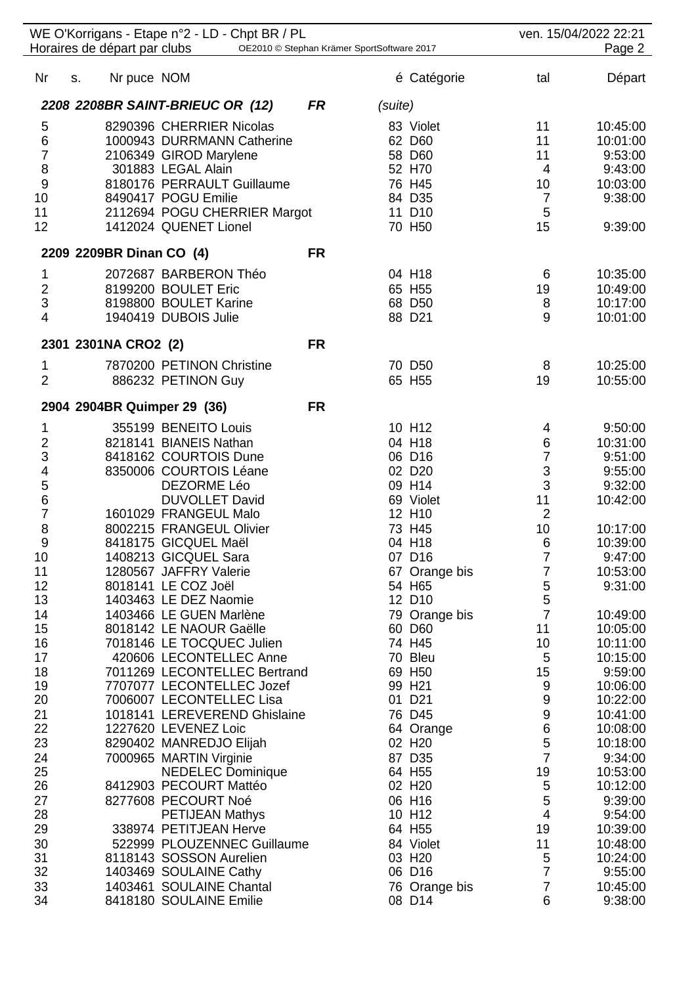| WE O'Korrigans - Etape n°2 - LD - Chpt BR / PL<br>Horaires de départ par clubs<br>OE2010 © Stephan Krämer SportSoftware 2017 |    |                          |                                                       |           | ven. 15/04/2022 22:21<br>Page 2 |                         |                               |                      |
|------------------------------------------------------------------------------------------------------------------------------|----|--------------------------|-------------------------------------------------------|-----------|---------------------------------|-------------------------|-------------------------------|----------------------|
| Nr                                                                                                                           | S. | Nr puce NOM              |                                                       |           |                                 | é Catégorie             | tal                           | Départ               |
|                                                                                                                              |    |                          | 2208 2208BR SAINT-BRIEUC OR (12)                      | <b>FR</b> | (suite)                         |                         |                               |                      |
| 5                                                                                                                            |    |                          | 8290396 CHERRIER Nicolas                              |           |                                 | 83 Violet               | 11                            | 10:45:00             |
| $\,$ 6 $\,$                                                                                                                  |    |                          | 1000943 DURRMANN Catherine                            |           |                                 | 62 D60                  | 11                            | 10:01:00             |
| $\overline{7}$                                                                                                               |    |                          | 2106349 GIROD Marylene                                |           |                                 | 58 D60                  | 11                            | 9:53:00              |
| $\bf 8$                                                                                                                      |    |                          | 301883 LEGAL Alain                                    |           |                                 | 52 H70                  | 4                             | 9:43:00              |
| $\boldsymbol{9}$                                                                                                             |    |                          | 8180176 PERRAULT Guillaume                            |           |                                 | 76 H45                  | 10                            | 10:03:00             |
| 10                                                                                                                           |    |                          | 8490417 POGU Emilie                                   |           |                                 | 84 D35                  | $\overline{7}$                | 9:38:00              |
| 11<br>12                                                                                                                     |    |                          | 2112694 POGU CHERRIER Margot<br>1412024 QUENET Lionel |           |                                 | 11 D10<br>70 H50        | 5<br>15                       | 9:39:00              |
|                                                                                                                              |    | 2209 2209BR Dinan CO (4) |                                                       | <b>FR</b> |                                 |                         |                               |                      |
| 1                                                                                                                            |    |                          | 2072687 BARBERON Théo                                 |           |                                 | 04 H18                  | 6                             | 10:35:00             |
| $\overline{c}$                                                                                                               |    |                          | 8199200 BOULET Eric                                   |           |                                 | 65 H55                  | 19                            | 10:49:00             |
| 3                                                                                                                            |    |                          | 8198800 BOULET Karine                                 |           |                                 | 68 D50                  | 8                             | 10:17:00             |
| 4                                                                                                                            |    |                          | 1940419 DUBOIS Julie                                  |           |                                 | 88 D21                  | 9                             | 10:01:00             |
|                                                                                                                              |    | 2301 2301NA CRO2 (2)     |                                                       | <b>FR</b> |                                 |                         |                               |                      |
| 1                                                                                                                            |    |                          | 7870200 PETINON Christine                             |           |                                 | 70 D50                  | 8                             | 10:25:00             |
| $\overline{2}$                                                                                                               |    |                          | 886232 PETINON Guy                                    |           |                                 | 65 H55                  | 19                            | 10:55:00             |
|                                                                                                                              |    |                          | 2904 2904BR Quimper 29 (36)                           | <b>FR</b> |                                 |                         |                               |                      |
|                                                                                                                              |    |                          |                                                       |           |                                 |                         |                               |                      |
| 1                                                                                                                            |    |                          | 355199 BENEITO Louis                                  |           |                                 | 10 H12<br>04 H18        | 4                             | 9:50:00              |
| $\overline{\mathbf{c}}$<br>3                                                                                                 |    |                          | 8218141 BIANEIS Nathan<br>8418162 COURTOIS Dune       |           |                                 | 06 D16                  | 6<br>$\overline{7}$           | 10:31:00<br>9:51:00  |
| 4                                                                                                                            |    |                          | 8350006 COURTOIS Léane                                |           |                                 | 02 D <sub>20</sub>      | $\sqrt{3}$                    | 9:55:00              |
| 5                                                                                                                            |    |                          | DEZORME Léo                                           |           |                                 | 09 H14                  | $\mathbf{3}$                  | 9:32:00              |
| $\,$ 6 $\,$                                                                                                                  |    |                          | <b>DUVOLLET David</b>                                 |           |                                 | 69 Violet               | 11                            | 10:42:00             |
| $\overline{7}$                                                                                                               |    |                          | 1601029 FRANGEUL Malo                                 |           |                                 | 12 H10                  | $\overline{2}$                |                      |
| 8                                                                                                                            |    |                          | 8002215 FRANGEUL Olivier                              |           |                                 | 73 H45                  | 10                            | 10:17:00             |
| 9                                                                                                                            |    |                          | 8418175 GICQUEL Maël                                  |           |                                 | 04 H18                  | 6                             | 10:39:00             |
| 10                                                                                                                           |    |                          | 1408213 GICQUEL Sara                                  |           |                                 | 07 D16                  | 7                             | 9:47:00              |
| 11                                                                                                                           |    |                          | 1280567 JAFFRY Valerie                                |           |                                 | 67 Orange bis           | 7                             | 10:53:00             |
| 12                                                                                                                           |    |                          | 8018141 LE COZ Joël                                   |           |                                 | 54 H65                  | $\mathbf 5$                   | 9:31:00              |
| 13                                                                                                                           |    |                          | 1403463 LE DEZ Naomie                                 |           |                                 | 12 D10                  | $\mathbf 5$<br>$\overline{7}$ |                      |
| 14<br>15                                                                                                                     |    |                          | 1403466 LE GUEN Marlène<br>8018142 LE NAOUR Gaëlle    |           |                                 | 79 Orange bis<br>60 D60 | 11                            | 10:49:00<br>10:05:00 |
| 16                                                                                                                           |    |                          | 7018146 LE TOCQUEC Julien                             |           |                                 | 74 H45                  | 10                            | 10:11:00             |
| 17                                                                                                                           |    |                          | 420606 LECONTELLEC Anne                               |           |                                 | 70 Bleu                 | $\sqrt{5}$                    | 10:15:00             |
| 18                                                                                                                           |    |                          | 7011269 LECONTELLEC Bertrand                          |           |                                 | 69 H50                  | 15                            | 9:59:00              |
| 19                                                                                                                           |    |                          | 7707077 LECONTELLEC Jozef                             |           |                                 | 99 H <sub>21</sub>      | $9\,$                         | 10:06:00             |
| 20                                                                                                                           |    |                          | 7006007 LECONTELLEC Lisa                              |           |                                 | 01 D21                  | $\boldsymbol{9}$              | 10:22:00             |
| 21                                                                                                                           |    |                          | 1018141 LEREVEREND Ghislaine                          |           |                                 | 76 D45                  | $\boldsymbol{9}$              | 10:41:00             |
| 22                                                                                                                           |    |                          | 1227620 LEVENEZ Loic                                  |           |                                 | 64 Orange               | $\,$ 6 $\,$                   | 10:08:00             |
| 23                                                                                                                           |    |                          | 8290402 MANREDJO Elijah                               |           |                                 | 02 H20                  | 5                             | 10:18:00             |
| 24                                                                                                                           |    |                          | 7000965 MARTIN Virginie                               |           |                                 | 87 D35                  | $\overline{7}$                | 9:34:00              |
| 25                                                                                                                           |    |                          | <b>NEDELEC Dominique</b>                              |           |                                 | 64 H55                  | 19                            | 10:53:00             |
| 26                                                                                                                           |    |                          | 8412903 PECOURT Mattéo                                |           |                                 | 02 H <sub>20</sub>      | 5                             | 10:12:00             |
| 27<br>28                                                                                                                     |    |                          | 8277608 PECOURT Noé<br><b>PETIJEAN Mathys</b>         |           |                                 | 06 H16<br>10 H12        | 5<br>$\overline{4}$           | 9:39:00<br>9:54:00   |
| 29                                                                                                                           |    |                          | 338974 PETITJEAN Herve                                |           |                                 | 64 H55                  | 19                            | 10:39:00             |
| 30                                                                                                                           |    |                          | 522999 PLOUZENNEC Guillaume                           |           |                                 | 84 Violet               | 11                            | 10:48:00             |
| 31                                                                                                                           |    |                          | 8118143 SOSSON Aurelien                               |           |                                 | 03 H <sub>20</sub>      | 5                             | 10:24:00             |
| 32                                                                                                                           |    |                          | 1403469 SOULAINE Cathy                                |           |                                 | 06 D16                  | 7                             | 9:55:00              |
| 33                                                                                                                           |    |                          | 1403461 SOULAINE Chantal                              |           |                                 | 76 Orange bis           | 7                             | 10:45:00             |
| 34                                                                                                                           |    |                          | 8418180 SOULAINE Emilie                               |           |                                 | 08 D14                  | 6                             | 9:38:00              |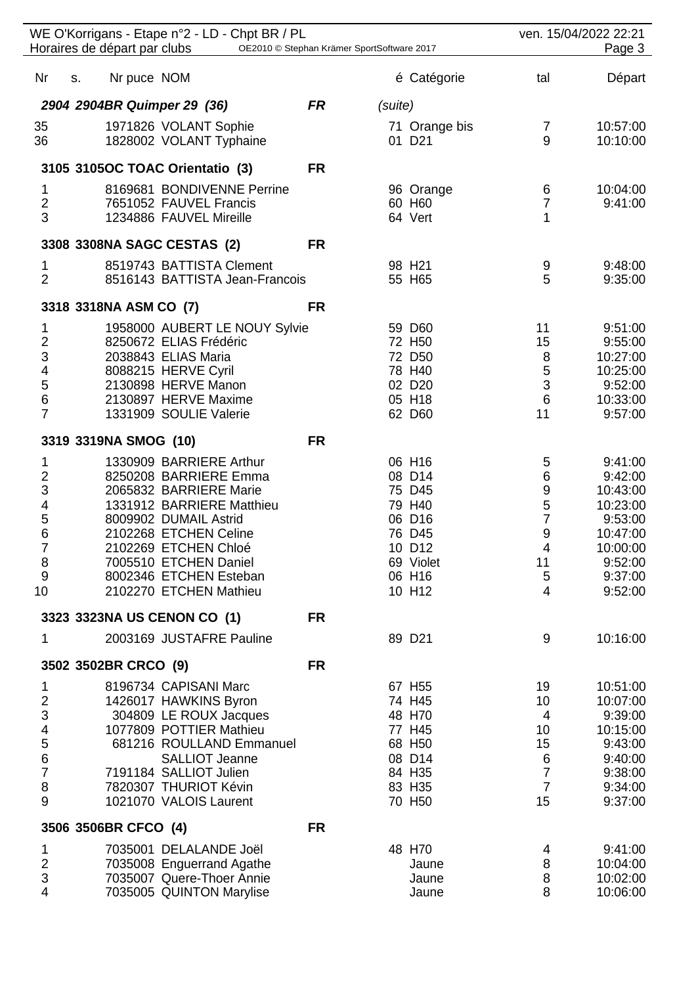| WE O'Korrigans - Etape n°2 - LD - Chpt BR / PL<br>Horaires de départ par clubs<br>OE2010 © Stephan Krämer SportSoftware 2017 |                                                   |           |         |                    | ven. 15/04/2022 22:21<br>Page 3 |                      |  |
|------------------------------------------------------------------------------------------------------------------------------|---------------------------------------------------|-----------|---------|--------------------|---------------------------------|----------------------|--|
| Nr                                                                                                                           | Nr puce NOM<br>S.                                 |           |         | é Catégorie        | tal                             | Départ               |  |
|                                                                                                                              | 2904 2904BR Quimper 29 (36)                       | <b>FR</b> | (suite) |                    |                                 |                      |  |
| 35                                                                                                                           | 1971826 VOLANT Sophie                             |           |         | 71 Orange bis      | 7                               | 10:57:00             |  |
| 36                                                                                                                           | 1828002 VOLANT Typhaine                           |           |         | 01 D <sub>21</sub> | 9                               | 10:10:00             |  |
|                                                                                                                              | 3105 3105OC TOAC Orientatio (3)                   | <b>FR</b> |         |                    |                                 |                      |  |
| 1                                                                                                                            | 8169681 BONDIVENNE Perrine                        |           |         | 96 Orange          | 6                               | 10:04:00             |  |
| $\frac{2}{3}$                                                                                                                | 7651052 FAUVEL Francis<br>1234886 FAUVEL Mireille |           |         | 60 H60<br>64 Vert  | $\overline{7}$<br>1             | 9:41:00              |  |
|                                                                                                                              | 3308 3308NA SAGC CESTAS (2)                       | <b>FR</b> |         |                    |                                 |                      |  |
| 1                                                                                                                            | 8519743 BATTISTA Clement                          |           |         | 98 H <sub>21</sub> | 9                               | 9:48:00              |  |
| $\overline{2}$                                                                                                               | 8516143 BATTISTA Jean-Francois                    |           |         | 55 H65             | 5                               | 9:35:00              |  |
|                                                                                                                              | 3318 3318NA ASM CO (7)                            | <b>FR</b> |         |                    |                                 |                      |  |
| 1                                                                                                                            | 1958000 AUBERT LE NOUY Sylvie                     |           |         | 59 D60             | 11                              | 9:51:00              |  |
| $\overline{2}$<br>3                                                                                                          | 8250672 ELIAS Frédéric<br>2038843 ELIAS Maria     |           |         | 72 H50<br>72 D50   | 15<br>$\,8\,$                   | 9:55:00<br>10:27:00  |  |
| $\overline{\mathbf{4}}$                                                                                                      | 8088215 HERVE Cyril                               |           |         | 78 H40             | $\overline{5}$                  | 10:25:00             |  |
| 5                                                                                                                            | 2130898 HERVE Manon                               |           |         | 02 D <sub>20</sub> | $\mathbf{3}$                    | 9:52:00              |  |
| 6<br>$\overline{7}$                                                                                                          | 2130897 HERVE Maxime<br>1331909 SOULIE Valerie    |           |         | 05 H18<br>62 D60   | $6\phantom{1}$<br>11            | 10:33:00<br>9:57:00  |  |
|                                                                                                                              |                                                   |           |         |                    |                                 |                      |  |
|                                                                                                                              | 3319 3319NA SMOG (10)                             | <b>FR</b> |         |                    |                                 |                      |  |
| 1                                                                                                                            | 1330909 BARRIERE Arthur<br>8250208 BARRIERE Emma  |           |         | 06 H16<br>08 D14   | 5<br>6                          | 9:41:00<br>9:42:00   |  |
| $\frac{2}{3}$                                                                                                                | 2065832 BARRIERE Marie                            |           |         | 75 D45             | $\boldsymbol{9}$                | 10:43:00             |  |
|                                                                                                                              | 1331912 BARRIERE Matthieu                         |           |         | 79 H40             | $\frac{5}{7}$                   | 10:23:00             |  |
| $\begin{array}{c} 4 \\ 5 \\ 6 \end{array}$                                                                                   | 8009902 DUMAIL Astrid                             |           |         | 06 D16             |                                 | 9:53:00              |  |
| $\overline{7}$                                                                                                               | 2102268 ETCHEN Celine<br>2102269 ETCHEN Chloé     |           |         | 76 D45<br>10 D12   | $\overline{9}$<br>4             | 10:47:00<br>10:00:00 |  |
| 8                                                                                                                            | 7005510 ETCHEN Daniel                             |           |         | 69 Violet          | 11                              | 9:52:00              |  |
| 9                                                                                                                            | 8002346 ETCHEN Esteban                            |           |         | 06 H16             | $\sqrt{5}$                      | 9:37:00              |  |
| 10                                                                                                                           | 2102270 ETCHEN Mathieu                            |           |         | 10 H12             | $\overline{4}$                  | 9:52:00              |  |
|                                                                                                                              | 3323 3323NA US CENON CO (1)                       | <b>FR</b> |         |                    |                                 |                      |  |
| 1                                                                                                                            | 2003169 JUSTAFRE Pauline                          |           |         | 89 D21             | 9                               | 10:16:00             |  |
|                                                                                                                              | 3502 3502BR CRCO (9)                              | <b>FR</b> |         |                    |                                 |                      |  |
| 1                                                                                                                            | 8196734 CAPISANI Marc                             |           |         | 67 H55             | 19                              | 10:51:00             |  |
| $\overline{c}$                                                                                                               | 1426017 HAWKINS Byron                             |           |         | 74 H45             | 10                              | 10:07:00             |  |
| 3<br>4                                                                                                                       | 304809 LE ROUX Jacques<br>1077809 POTTIER Mathieu |           |         | 48 H70<br>77 H45   | 4<br>10                         | 9:39:00<br>10:15:00  |  |
| 5                                                                                                                            | 681216 ROULLAND Emmanuel                          |           |         | 68 H50             | 15                              | 9:43:00              |  |
| 6                                                                                                                            | <b>SALLIOT Jeanne</b>                             |           |         | 08 D14             | 6                               | 9:40:00              |  |
| $\overline{7}$                                                                                                               | 7191184 SALLIOT Julien                            |           |         | 84 H35             | $\overline{7}$                  | 9:38:00              |  |
| 8<br>9                                                                                                                       | 7820307 THURIOT Kévin<br>1021070 VALOIS Laurent   |           |         | 83 H35<br>70 H50   | $\overline{7}$<br>15            | 9:34:00<br>9:37:00   |  |
|                                                                                                                              | 3506 3506BR CFCO (4)                              | <b>FR</b> |         |                    |                                 |                      |  |
| 1                                                                                                                            | 7035001 DELALANDE Joël                            |           |         | 48 H70             | 4                               | 9:41:00              |  |
| $\overline{\mathbf{c}}$                                                                                                      | 7035008 Enguerrand Agathe                         |           |         | Jaune              | 8                               | 10:04:00             |  |
| 3                                                                                                                            | 7035007 Quere-Thoer Annie                         |           |         | Jaune              | 8                               | 10:02:00             |  |
| 4                                                                                                                            | 7035005 QUINTON Marylise                          |           |         | Jaune              | 8                               | 10:06:00             |  |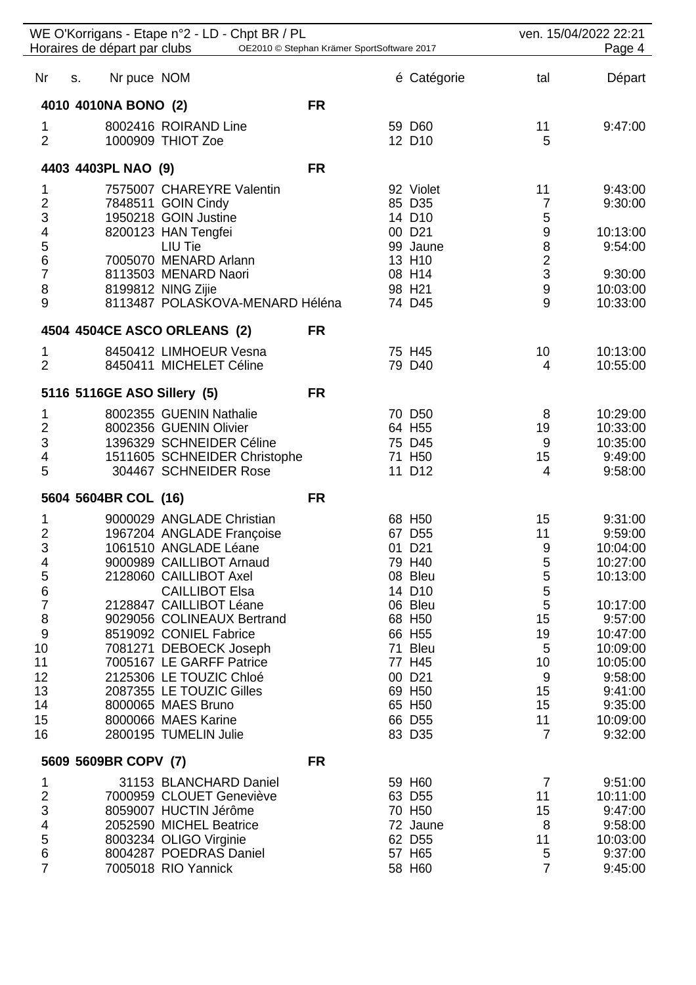| WE O'Korrigans - Etape n°2 - LD - Chpt BR / PL<br>Horaires de départ par clubs<br>OE2010 © Stephan Krämer SportSoftware 2017 |    |                      |                                                       |           | ven. 15/04/2022 22:21<br>Page 4 |                                    |                     |
|------------------------------------------------------------------------------------------------------------------------------|----|----------------------|-------------------------------------------------------|-----------|---------------------------------|------------------------------------|---------------------|
| Nr                                                                                                                           | S. | Nr puce NOM          |                                                       |           | é Catégorie                     | tal                                | Départ              |
|                                                                                                                              |    | 4010 4010NA BONO (2) |                                                       | <b>FR</b> |                                 |                                    |                     |
| 1                                                                                                                            |    |                      | 8002416 ROIRAND Line                                  |           | 59 D60                          | 11                                 | 9:47:00             |
| $\overline{2}$                                                                                                               |    |                      | 1000909 THIOT Zoe                                     |           | 12 D10                          | 5                                  |                     |
|                                                                                                                              |    | 4403 4403PL NAO (9)  |                                                       | <b>FR</b> |                                 |                                    |                     |
| 1                                                                                                                            |    |                      | 7575007 CHAREYRE Valentin                             |           | 92 Violet                       | 11                                 | 9:43:00             |
|                                                                                                                              |    |                      | 7848511 GOIN Cindy                                    |           | 85 D35                          | $\overline{7}$                     | 9:30:00             |
| $\frac{2}{3}$                                                                                                                |    |                      | 1950218 GOIN Justine                                  |           | 14 D10                          | 5                                  |                     |
| 4567                                                                                                                         |    |                      | 8200123 HAN Tengfei                                   |           | 00 D <sub>21</sub>              | 9                                  | 10:13:00            |
|                                                                                                                              |    |                      | LIU Tie<br>7005070 MENARD Arlann                      |           | 99 Jaune<br>13 H10              | $\bf 8$<br>$\overline{\mathbf{c}}$ | 9:54:00             |
|                                                                                                                              |    |                      | 8113503 MENARD Naori                                  |           | 08 H14                          | $\mathbf{3}$                       | 9:30:00             |
| 8                                                                                                                            |    |                      | 8199812 NING Zijie                                    |           | 98 H <sub>21</sub>              | $\boldsymbol{9}$                   | 10:03:00            |
| 9                                                                                                                            |    |                      | 8113487 POLASKOVA-MENARD Héléna                       |           | 74 D45                          | 9                                  | 10:33:00            |
|                                                                                                                              |    |                      | 4504 4504CE ASCO ORLEANS (2)                          | <b>FR</b> |                                 |                                    |                     |
| 1                                                                                                                            |    |                      | 8450412 LIMHOEUR Vesna                                |           | 75 H45                          | 10                                 | 10:13:00            |
| $\overline{2}$                                                                                                               |    |                      | 8450411 MICHELET Céline                               |           | 79 D40                          | 4                                  | 10:55:00            |
|                                                                                                                              |    |                      | 5116 5116GE ASO Sillery (5)                           | <b>FR</b> |                                 |                                    |                     |
| 1                                                                                                                            |    |                      | 8002355 GUENIN Nathalie                               |           | 70 D50                          | 8                                  | 10:29:00            |
| $\overline{2}$                                                                                                               |    |                      | 8002356 GUENIN Olivier                                |           | 64 H55                          | 19                                 | 10:33:00            |
| 3                                                                                                                            |    |                      | 1396329 SCHNEIDER Céline                              |           | 75 D45                          | 9                                  | 10:35:00            |
| 4<br>5                                                                                                                       |    |                      | 1511605 SCHNEIDER Christophe<br>304467 SCHNEIDER Rose |           | 71 H <sub>50</sub><br>11 D12    | 15<br>$\overline{4}$               | 9:49:00<br>9:58:00  |
|                                                                                                                              |    | 5604 5604BR COL (16) |                                                       | <b>FR</b> |                                 |                                    |                     |
| 1                                                                                                                            |    |                      | 9000029 ANGLADE Christian                             |           | 68 H50                          | 15                                 | 9:31:00             |
| $\overline{2}$                                                                                                               |    |                      | 1967204 ANGLADE Françoise                             |           | 67 D55                          | 11                                 | 9:59:00             |
| 3                                                                                                                            |    |                      | 1061510 ANGLADE Léane                                 |           | 01 D21                          | $\boldsymbol{9}$                   | 10:04:00            |
| 4                                                                                                                            |    |                      | 9000989 CAILLIBOT Arnaud                              |           | 79 H40                          | $\frac{5}{5}$                      | 10:27:00            |
| 5<br>6<br>7                                                                                                                  |    |                      | 2128060 CAILLIBOT Axel                                |           | 08 Bleu                         |                                    | 10:13:00            |
|                                                                                                                              |    |                      | <b>CAILLIBOT Elsa</b><br>2128847 CAILLIBOT Léane      |           | 14 D10<br>06 Bleu               | $\frac{5}{5}$                      | 10:17:00            |
| 8                                                                                                                            |    |                      | 9029056 COLINEAUX Bertrand                            |           | 68 H50                          | 15                                 | 9:57:00             |
| 9                                                                                                                            |    |                      | 8519092 CONIEL Fabrice                                |           | 66 H55                          | 19                                 | 10:47:00            |
| 10                                                                                                                           |    |                      | 7081271 DEBOECK Joseph                                |           | 71 Bleu                         | $\sqrt{5}$                         | 10:09:00            |
| 11                                                                                                                           |    |                      | 7005167 LE GARFF Patrice                              |           | 77 H45                          | 10                                 | 10:05:00            |
| 12                                                                                                                           |    |                      | 2125306 LE TOUZIC Chloé                               |           | 00 D21                          | 9                                  | 9:58:00             |
| 13<br>14                                                                                                                     |    |                      | 2087355 LE TOUZIC Gilles<br>8000065 MAES Bruno        |           | 69 H50<br>65 H50                | 15<br>15                           | 9:41:00<br>9:35:00  |
| 15                                                                                                                           |    |                      | 8000066 MAES Karine                                   |           | 66 D55                          | 11                                 | 10:09:00            |
| 16                                                                                                                           |    |                      | 2800195 TUMELIN Julie                                 |           | 83 D35                          | $\overline{7}$                     | 9:32:00             |
|                                                                                                                              |    | 5609 5609BR COPV (7) |                                                       | <b>FR</b> |                                 |                                    |                     |
| 1                                                                                                                            |    |                      | 31153 BLANCHARD Daniel                                |           | 59 H60                          | $\overline{7}$                     | 9:51:00             |
| $\overline{c}$                                                                                                               |    |                      | 7000959 CLOUET Geneviève                              |           | 63 D55                          | 11                                 | 10:11:00            |
| 3                                                                                                                            |    |                      | 8059007 HUCTIN Jérôme                                 |           | 70 H50                          | 15                                 | 9:47:00             |
| 4<br>5                                                                                                                       |    |                      | 2052590 MICHEL Beatrice                               |           | 72 Jaune                        | 8                                  | 9:58:00             |
| 6                                                                                                                            |    |                      | 8003234 OLIGO Virginie<br>8004287 POEDRAS Daniel      |           | 62 D55<br>57 H65                | 11<br>5                            | 10:03:00<br>9:37:00 |
| $\overline{7}$                                                                                                               |    |                      | 7005018 RIO Yannick                                   |           | 58 H60                          | $\overline{7}$                     | 9:45:00             |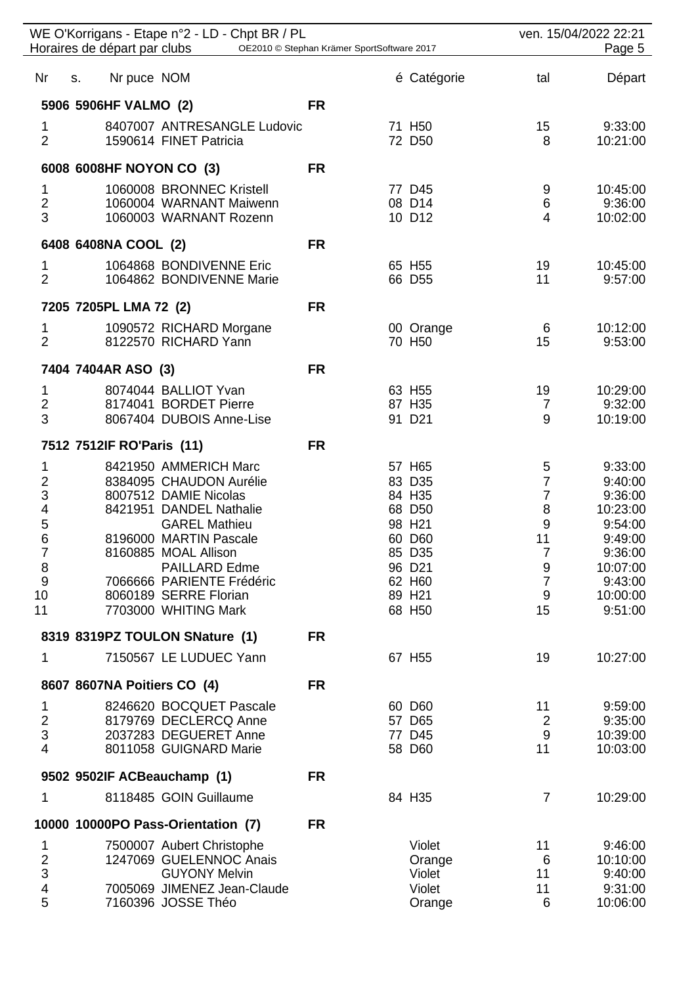|                                       | WE O'Korrigans - Etape n°2 - LD - Chpt BR / PL<br>Horaires de départ par clubs<br>OE2010 © Stephan Krämer SportSoftware 2017 |           |  |                    | ven. 15/04/2022 22:21<br>Page 5 |                     |  |
|---------------------------------------|------------------------------------------------------------------------------------------------------------------------------|-----------|--|--------------------|---------------------------------|---------------------|--|
| Nr                                    | Nr puce NOM<br>S.                                                                                                            |           |  | é Catégorie        | tal                             | Départ              |  |
|                                       | 5906 5906HF VALMO (2)                                                                                                        | <b>FR</b> |  |                    |                                 |                     |  |
| 1                                     | 8407007 ANTRESANGLE Ludovic                                                                                                  |           |  | 71 H <sub>50</sub> | 15                              | 9:33:00             |  |
| $\overline{2}$                        | 1590614 FINET Patricia                                                                                                       |           |  | 72 D50             | 8                               | 10:21:00            |  |
|                                       | 6008 6008HF NOYON CO (3)                                                                                                     | <b>FR</b> |  |                    |                                 |                     |  |
| 1                                     | 1060008 BRONNEC Kristell                                                                                                     |           |  | 77 D45             | 9                               | 10:45:00            |  |
| $\overline{2}$<br>3                   | 1060004 WARNANT Maiwenn<br>1060003 WARNANT Rozenn                                                                            |           |  | 08 D14<br>10 D12   | 6<br>4                          | 9:36:00<br>10:02:00 |  |
|                                       | 6408 6408NA COOL (2)                                                                                                         | <b>FR</b> |  |                    |                                 |                     |  |
| 1                                     | 1064868 BONDIVENNE Eric                                                                                                      |           |  | 65 H55             | 19                              | 10:45:00            |  |
| $\overline{2}$                        | 1064862 BONDIVENNE Marie                                                                                                     |           |  | 66 D55             | 11                              | 9:57:00             |  |
|                                       | 7205 7205PL LMA 72 (2)                                                                                                       | <b>FR</b> |  |                    |                                 |                     |  |
| 1                                     | 1090572 RICHARD Morgane                                                                                                      |           |  | 00 Orange          | 6                               | 10:12:00            |  |
| $\overline{2}$                        | 8122570 RICHARD Yann                                                                                                         |           |  | 70 H50             | 15                              | 9:53:00             |  |
|                                       | 7404 7404AR ASO (3)                                                                                                          | <b>FR</b> |  |                    |                                 |                     |  |
| 1<br>$\overline{\mathbf{c}}$          | 8074044 BALLIOT Yvan<br>8174041 BORDET Pierre                                                                                |           |  | 63 H55<br>87 H35   | 19<br>$\overline{7}$            | 10:29:00<br>9:32:00 |  |
| 3                                     | 8067404 DUBOIS Anne-Lise                                                                                                     |           |  | 91 D21             | 9                               | 10:19:00            |  |
|                                       | 7512 7512IF RO'Paris (11)                                                                                                    | <b>FR</b> |  |                    |                                 |                     |  |
| 1                                     | 8421950 AMMERICH Marc                                                                                                        |           |  | 57 H65             | 5                               | 9:33:00             |  |
| $\overline{\mathbf{c}}$               | 8384095 CHAUDON Aurélie                                                                                                      |           |  | 83 D35             | $\overline{7}$                  | 9:40:00             |  |
| 3<br>$\overline{\mathbf{4}}$          | 8007512 DAMIE Nicolas<br>8421951 DANDEL Nathalie                                                                             |           |  | 84 H35<br>68 D50   | $\overline{7}$<br>8             | 9:36:00<br>10:23:00 |  |
| 5                                     | <b>GAREL Mathieu</b>                                                                                                         |           |  | 98 H21             | $\overline{9}$                  | 9:54:00             |  |
| 6                                     | 8196000 MARTIN Pascale                                                                                                       |           |  | 60 D60             | 11<br>7                         | 9:49:00             |  |
| 7                                     | 8160885 MOAL Allison<br><b>PAILLARD Edme</b>                                                                                 |           |  | 85 D35<br>96 D21   | 9                               | 9:36:00<br>10:07:00 |  |
| $\begin{array}{c} 8 \\ 9 \end{array}$ | 7066666 PARIENTE Frédéric                                                                                                    |           |  | 62 H60             | $\overline{7}$                  | 9:43:00             |  |
| 10<br>11                              | 8060189 SERRE Florian<br>7703000 WHITING Mark                                                                                |           |  | 89 H21<br>68 H50   | 9<br>15                         | 10:00:00<br>9:51:00 |  |
|                                       |                                                                                                                              |           |  |                    |                                 |                     |  |
| 1                                     | 8319 8319PZ TOULON SNature (1)<br>7150567 LE LUDUEC Yann                                                                     | <b>FR</b> |  |                    |                                 |                     |  |
|                                       |                                                                                                                              |           |  | 67 H55             | 19                              | 10:27:00            |  |
|                                       | 8607 8607NA Poitiers CO (4)                                                                                                  | <b>FR</b> |  |                    |                                 |                     |  |
| 1<br>$\overline{2}$                   | 8246620 BOCQUET Pascale<br>8179769 DECLERCQ Anne                                                                             |           |  | 60 D60<br>57 D65   | 11<br>$\overline{2}$            | 9:59:00<br>9:35:00  |  |
| 3                                     | 2037283 DEGUERET Anne                                                                                                        |           |  | 77 D45             | 9                               | 10:39:00            |  |
| $\overline{4}$                        | 8011058 GUIGNARD Marie                                                                                                       |           |  | 58 D60             | 11                              | 10:03:00            |  |
|                                       | 9502 9502IF ACBeauchamp (1)                                                                                                  | <b>FR</b> |  |                    |                                 |                     |  |
| 1                                     | 8118485 GOIN Guillaume                                                                                                       |           |  | 84 H35             | $\overline{7}$                  | 10:29:00            |  |
|                                       | 10000 10000PO Pass-Orientation (7)                                                                                           | <b>FR</b> |  |                    |                                 |                     |  |
| 1                                     | 7500007 Aubert Christophe                                                                                                    |           |  | Violet             | 11                              | 9:46:00             |  |
| $\frac{2}{3}$                         | 1247069 GUELENNOC Anais<br><b>GUYONY Melvin</b>                                                                              |           |  | Orange<br>Violet   | 6<br>11                         | 10:10:00<br>9:40:00 |  |
| $\overline{\mathbf{4}}$               | 7005069 JIMENEZ Jean-Claude                                                                                                  |           |  | Violet             | 11                              | 9:31:00             |  |
| 5                                     | 7160396 JOSSE Théo                                                                                                           |           |  | Orange             | 6                               | 10:06:00            |  |